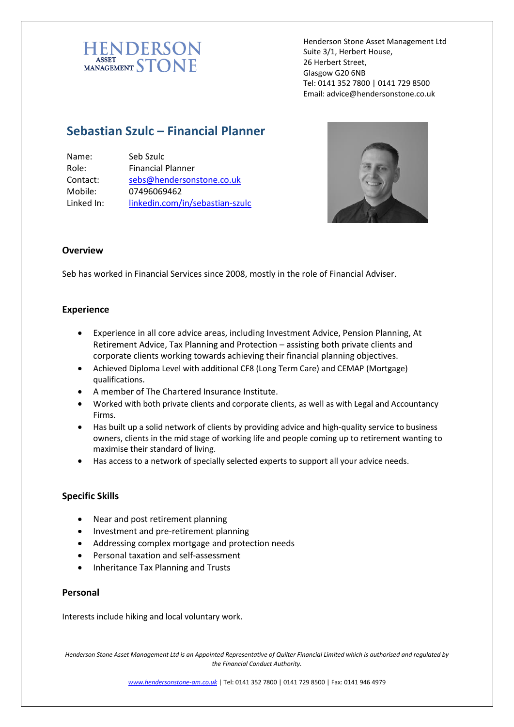

Henderson Stone Asset Management Ltd Suite 3/1, Herbert House, 26 Herbert Street, Glasgow G20 6NB Tel: 0141 352 7800 | 0141 729 8500 Email: advice@hendersonstone.co.uk

# **Sebastian Szulc – Financial Planner**

| Name:      | Seb Szulc                       |
|------------|---------------------------------|
| Role:      | <b>Financial Planner</b>        |
| Contact:   | sebs@hendersonstone.co.uk       |
| Mobile:    | 07496069462                     |
| Linked In: | linkedin.com/in/sebastian-szulc |



## **Overview**

Seb has worked in Financial Services since 2008, mostly in the role of Financial Adviser.

### **Experience**

- Experience in all core advice areas, including Investment Advice, Pension Planning, At Retirement Advice, Tax Planning and Protection – assisting both private clients and corporate clients working towards achieving their financial planning objectives.
- Achieved Diploma Level with additional CF8 (Long Term Care) and CEMAP (Mortgage) qualifications.
- A member of The Chartered Insurance Institute.
- Worked with both private clients and corporate clients, as well as with Legal and Accountancy Firms.
- Has built up a solid network of clients by providing advice and high-quality service to business owners, clients in the mid stage of working life and people coming up to retirement wanting to maximise their standard of living.
- Has access to a network of specially selected experts to support all your advice needs.

### **Specific Skills**

- Near and post retirement planning
- Investment and pre-retirement planning
- Addressing complex mortgage and protection needs
- Personal taxation and self-assessment
- Inheritance Tax Planning and Trusts

### **Personal**

Interests include hiking and local voluntary work.

*Henderson Stone Asset Management Ltd is an Appointed Representative of Quilter Financial Limited which is authorised and regulated by the Financial Conduct Authority.*